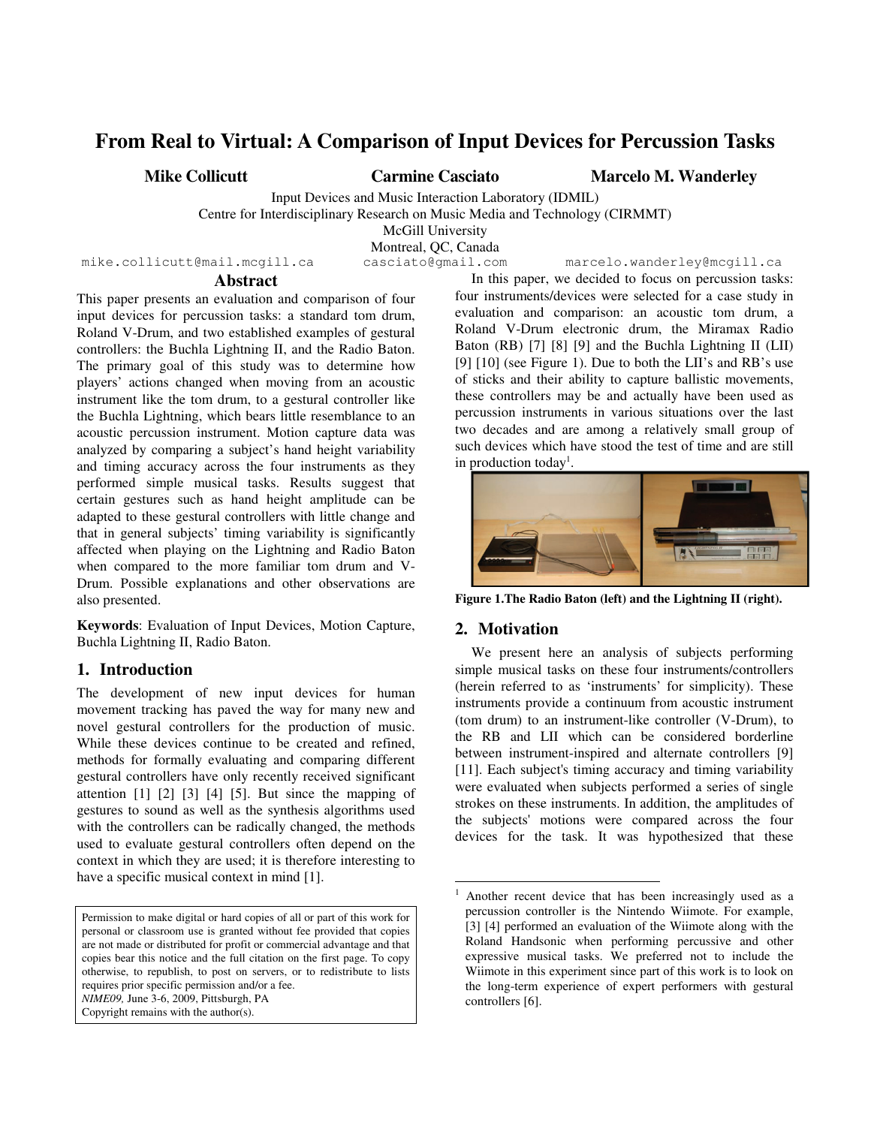# **From Real to Virtual: A Comparison of Input Devices for Percussion Tasks**

**Mike Collicutt Carmine Casciato Marcelo M. Wanderley**

Input Devices and Music Interaction Laboratory (IDMIL) Centre for Interdisciplinary Research on Music Media and Technology (CIRMMT)

McGill University

Montreal, QC, Canada

mike.collicutt@mail.mcgill.ca casciato@gmail.com marcelo.wanderley@mcgill.ca

## **Abstract**

This paper presents an evaluation and comparison of four input devices for percussion tasks: a standard tom drum, Roland V-Drum, and two established examples of gestural controllers: the Buchla Lightning II, and the Radio Baton. The primary goal of this study was to determine how players' actions changed when moving from an acoustic instrument like the tom drum, to a gestural controller like the Buchla Lightning, which bears little resemblance to an acoustic percussion instrument. Motion capture data was analyzed by comparing a subject's hand height variability and timing accuracy across the four instruments as they performed simple musical tasks. Results suggest that certain gestures such as hand height amplitude can be adapted to these gestural controllers with little change and that in general subjects' timing variability is significantly affected when playing on the Lightning and Radio Baton when compared to the more familiar tom drum and V-Drum. Possible explanations and other observations are also presented.

**Keywords**: Evaluation of Input Devices, Motion Capture, Buchla Lightning II, Radio Baton.

# **1. Introduction**

The development of new input devices for human movement tracking has paved the way for many new and novel gestural controllers for the production of music. While these devices continue to be created and refined, methods for formally evaluating and comparing different gestural controllers have only recently received significant attention [1] [2] [3] [4] [5]. But since the mapping of gestures to sound as well as the synthesis algorithms used with the controllers can be radically changed, the methods used to evaluate gestural controllers often depend on the context in which they are used; it is therefore interesting to have a specific musical context in mind [1].

Permission to make digital or hard copies of all or part of this work for personal or classroom use is granted without fee provided that copies are not made or distributed for profit or commercial advantage and that copies bear this notice and the full citation on the first page. To copy otherwise, to republish, to post on servers, or to redistribute to lists requires prior specific permission and/or a fee. *NIME09,* June 3-6, 2009, Pittsburgh, PA Copyright remains with the author(s).

In this paper, we decided to focus on percussion tasks: four instruments/devices were selected for a case study in evaluation and comparison: an acoustic tom drum, a Roland V-Drum electronic drum, the Miramax Radio Baton (RB) [7] [8] [9] and the Buchla Lightning II (LII) [9] [10] (see Figure 1). Due to both the LII's and RB's use of sticks and their ability to capture ballistic movements, these controllers may be and actually have been used as percussion instruments in various situations over the last two decades and are among a relatively small group of such devices which have stood the test of time and are still in production today<sup>1</sup>.



**Figure 1.The Radio Baton (left) and the Lightning II (right).** 

# **2. Motivation**

j

We present here an analysis of subjects performing simple musical tasks on these four instruments/controllers (herein referred to as 'instruments' for simplicity). These instruments provide a continuum from acoustic instrument (tom drum) to an instrument-like controller (V-Drum), to the RB and LII which can be considered borderline between instrument-inspired and alternate controllers [9] [11]. Each subject's timing accuracy and timing variability were evaluated when subjects performed a series of single strokes on these instruments. In addition, the amplitudes of the subjects' motions were compared across the four devices for the task. It was hypothesized that these

<sup>1</sup> Another recent device that has been increasingly used as a percussion controller is the Nintendo Wiimote. For example, [3] [4] performed an evaluation of the Wiimote along with the Roland Handsonic when performing percussive and other expressive musical tasks. We preferred not to include the Wiimote in this experiment since part of this work is to look on the long-term experience of expert performers with gestural controllers [6].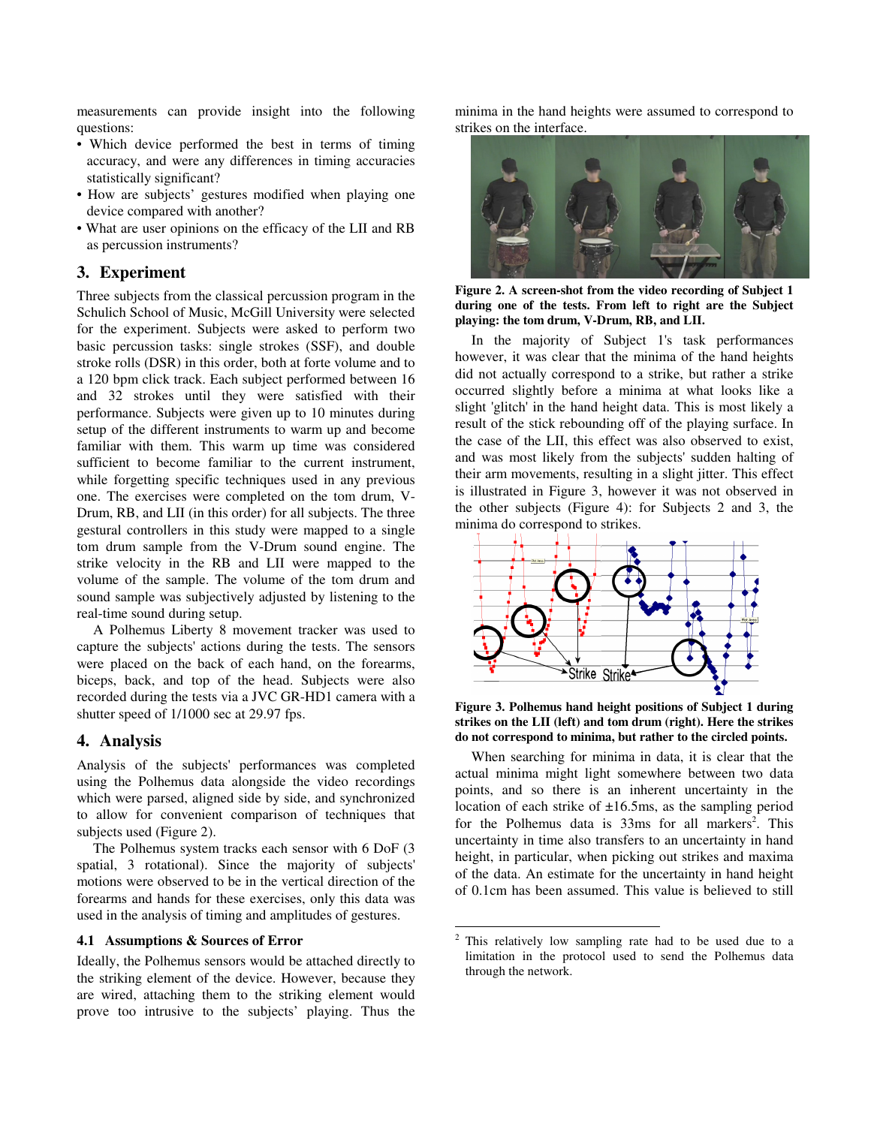measurements can provide insight into the following questions:

- Which device performed the best in terms of timing accuracy, and were any differences in timing accuracies statistically significant?
- How are subjects' gestures modified when playing one device compared with another?
- What are user opinions on the efficacy of the LII and RB as percussion instruments?

## **3. Experiment**

Three subjects from the classical percussion program in the Schulich School of Music, McGill University were selected for the experiment. Subjects were asked to perform two basic percussion tasks: single strokes (SSF), and double stroke rolls (DSR) in this order, both at forte volume and to a 120 bpm click track. Each subject performed between 16 and 32 strokes until they were satisfied with their performance. Subjects were given up to 10 minutes during setup of the different instruments to warm up and become familiar with them. This warm up time was considered sufficient to become familiar to the current instrument, while forgetting specific techniques used in any previous one. The exercises were completed on the tom drum, V-Drum, RB, and LII (in this order) for all subjects. The three gestural controllers in this study were mapped to a single tom drum sample from the V-Drum sound engine. The strike velocity in the RB and LII were mapped to the volume of the sample. The volume of the tom drum and sound sample was subjectively adjusted by listening to the real-time sound during setup.

A Polhemus Liberty 8 movement tracker was used to capture the subjects' actions during the tests. The sensors were placed on the back of each hand, on the forearms, biceps, back, and top of the head. Subjects were also recorded during the tests via a JVC GR-HD1 camera with a shutter speed of 1/1000 sec at 29.97 fps.

#### **4. Analysis**

Analysis of the subjects' performances was completed using the Polhemus data alongside the video recordings which were parsed, aligned side by side, and synchronized to allow for convenient comparison of techniques that subjects used (Figure 2).

The Polhemus system tracks each sensor with 6 DoF (3 spatial, 3 rotational). Since the majority of subjects' motions were observed to be in the vertical direction of the forearms and hands for these exercises, only this data was used in the analysis of timing and amplitudes of gestures.

#### **4.1 Assumptions & Sources of Error**

Ideally, the Polhemus sensors would be attached directly to the striking element of the device. However, because they are wired, attaching them to the striking element would prove too intrusive to the subjects' playing. Thus the minima in the hand heights were assumed to correspond to strikes on the interface.



**Figure 2. A screen-shot from the video recording of Subject 1 during one of the tests. From left to right are the Subject playing: the tom drum, V-Drum, RB, and LII.** 

In the majority of Subject 1's task performances however, it was clear that the minima of the hand heights did not actually correspond to a strike, but rather a strike occurred slightly before a minima at what looks like a slight 'glitch' in the hand height data. This is most likely a result of the stick rebounding off of the playing surface. In the case of the LII, this effect was also observed to exist, and was most likely from the subjects' sudden halting of their arm movements, resulting in a slight jitter. This effect is illustrated in Figure 3, however it was not observed in the other subjects (Figure 4): for Subjects 2 and 3, the minima do correspond to strikes.



**Figure 3. Polhemus hand height positions of Subject 1 during strikes on the LII (left) and tom drum (right). Here the strikes do not correspond to minima, but rather to the circled points.** 

When searching for minima in data, it is clear that the actual minima might light somewhere between two data points, and so there is an inherent uncertainty in the location of each strike of  $\pm 16.5$ ms, as the sampling period for the Polhemus data is 33ms for all markers<sup>2</sup>. This uncertainty in time also transfers to an uncertainty in hand height, in particular, when picking out strikes and maxima of the data. An estimate for the uncertainty in hand height of 0.1cm has been assumed. This value is believed to still

-

This relatively low sampling rate had to be used due to a limitation in the protocol used to send the Polhemus data through the network.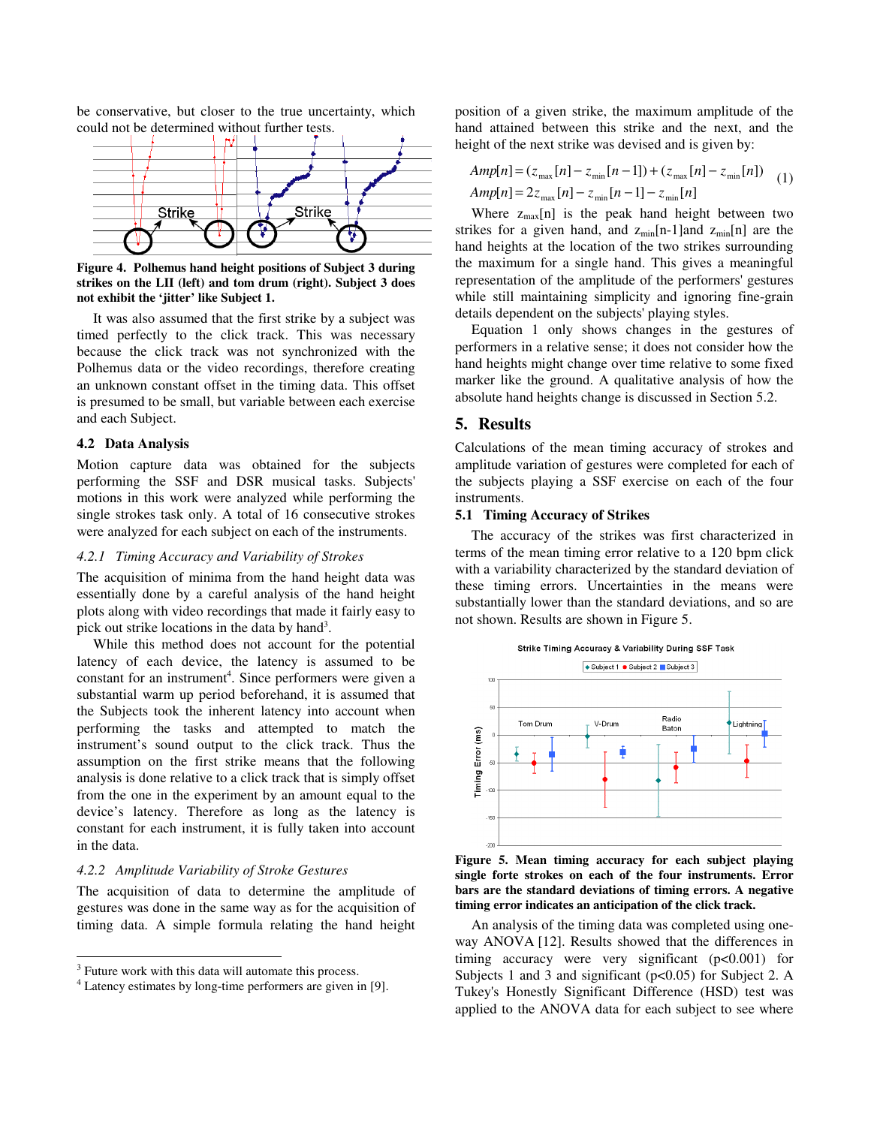be conservative, but closer to the true uncertainty, which could not be determined without further tests.



**Figure 4. Polhemus hand height positions of Subject 3 during strikes on the LII (left) and tom drum (right). Subject 3 does not exhibit the 'jitter' like Subject 1.** 

It was also assumed that the first strike by a subject was timed perfectly to the click track. This was necessary because the click track was not synchronized with the Polhemus data or the video recordings, therefore creating an unknown constant offset in the timing data. This offset is presumed to be small, but variable between each exercise and each Subject.

# **4.2 Data Analysis**

Motion capture data was obtained for the subjects performing the SSF and DSR musical tasks. Subjects' motions in this work were analyzed while performing the single strokes task only. A total of 16 consecutive strokes were analyzed for each subject on each of the instruments.

## *4.2.1 Timing Accuracy and Variability of Strokes*

The acquisition of minima from the hand height data was essentially done by a careful analysis of the hand height plots along with video recordings that made it fairly easy to pick out strike locations in the data by hand<sup>3</sup>.

While this method does not account for the potential latency of each device, the latency is assumed to be constant for an instrument<sup>4</sup>. Since performers were given a substantial warm up period beforehand, it is assumed that the Subjects took the inherent latency into account when performing the tasks and attempted to match the instrument's sound output to the click track. Thus the assumption on the first strike means that the following analysis is done relative to a click track that is simply offset from the one in the experiment by an amount equal to the device's latency. Therefore as long as the latency is constant for each instrument, it is fully taken into account in the data.

#### *4.2.2 Amplitude Variability of Stroke Gestures*

The acquisition of data to determine the amplitude of gestures was done in the same way as for the acquisition of timing data. A simple formula relating the hand height

 $\overline{a}$ 

position of a given strike, the maximum amplitude of the hand attained between this strike and the next, and the height of the next strike was devised and is given by:

$$
Amp[n] = (z_{\text{max}}[n] - z_{\text{min}}[n-1]) + (z_{\text{max}}[n] - z_{\text{min}}[n])
$$
  
\n
$$
Amp[n] = 2z_{\text{max}}[n] - z_{\text{min}}[n-1] - z_{\text{min}}[n]
$$
 (1)

Where  $z_{max}[n]$  is the peak hand height between two strikes for a given hand, and  $z_{min}[n-1]$ and  $z_{min}[n]$  are the hand heights at the location of the two strikes surrounding the maximum for a single hand. This gives a meaningful representation of the amplitude of the performers' gestures while still maintaining simplicity and ignoring fine-grain details dependent on the subjects' playing styles.

Equation 1 only shows changes in the gestures of performers in a relative sense; it does not consider how the hand heights might change over time relative to some fixed marker like the ground. A qualitative analysis of how the absolute hand heights change is discussed in Section 5.2.

## **5. Results**

Calculations of the mean timing accuracy of strokes and amplitude variation of gestures were completed for each of the subjects playing a SSF exercise on each of the four instruments.

# **5.1 Timing Accuracy of Strikes**

The accuracy of the strikes was first characterized in terms of the mean timing error relative to a 120 bpm click with a variability characterized by the standard deviation of these timing errors. Uncertainties in the means were substantially lower than the standard deviations, and so are not shown. Results are shown in Figure 5.



**Figure 5. Mean timing accuracy for each subject playing single forte strokes on each of the four instruments. Error bars are the standard deviations of timing errors. A negative timing error indicates an anticipation of the click track.** 

An analysis of the timing data was completed using oneway ANOVA [12]. Results showed that the differences in timing accuracy were very significant (p<0.001) for Subjects 1 and 3 and significant  $(p<0.05)$  for Subject 2. A Tukey's Honestly Significant Difference (HSD) test was applied to the ANOVA data for each subject to see where

<sup>&</sup>lt;sup>3</sup> Future work with this data will automate this process.

<sup>4</sup> Latency estimates by long-time performers are given in [9].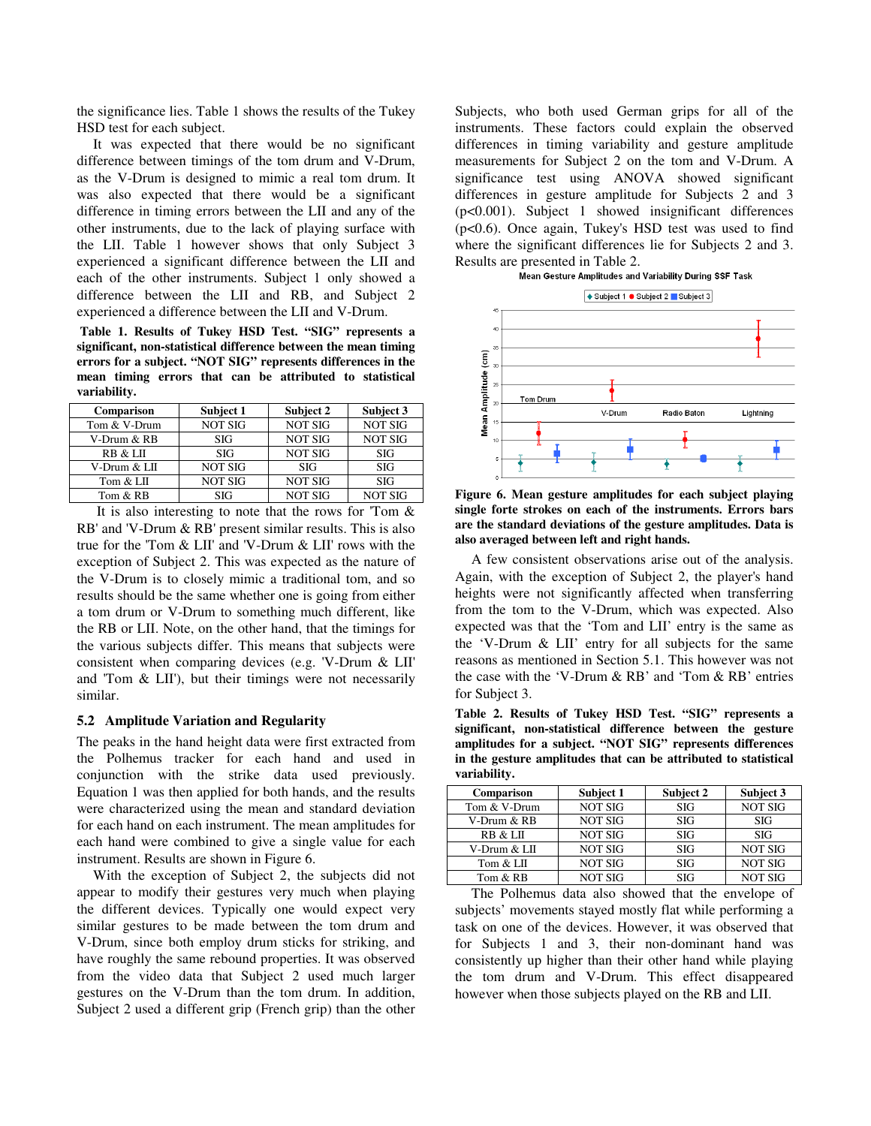the significance lies. Table 1 shows the results of the Tukey HSD test for each subject.

It was expected that there would be no significant difference between timings of the tom drum and V-Drum, as the V-Drum is designed to mimic a real tom drum. It was also expected that there would be a significant difference in timing errors between the LII and any of the other instruments, due to the lack of playing surface with the LII. Table 1 however shows that only Subject 3 experienced a significant difference between the LII and each of the other instruments. Subject 1 only showed a difference between the LII and RB, and Subject 2 experienced a difference between the LII and V-Drum.

 **Table 1. Results of Tukey HSD Test. "SIG" represents a significant, non-statistical difference between the mean timing errors for a subject. "NOT SIG" represents differences in the mean timing errors that can be attributed to statistical variability.** 

| Comparison   | Subject 1      | Subject 2      | Subject 3      |
|--------------|----------------|----------------|----------------|
| Tom & V-Drum | <b>NOT SIG</b> | <b>NOT SIG</b> | <b>NOT SIG</b> |
| V-Drum & RB  | <b>SIG</b>     | <b>NOT SIG</b> | <b>NOT SIG</b> |
| RB & LII     | SIG            | <b>NOT SIG</b> | <b>SIG</b>     |
| V-Drum & LII | <b>NOT SIG</b> | <b>SIG</b>     | <b>SIG</b>     |
| Tom & LII    | NOT SIG        | <b>NOT SIG</b> | <b>SIG</b>     |
| Tom & RB     | SIG            | <b>NOT SIG</b> | <b>NOT SIG</b> |

 It is also interesting to note that the rows for 'Tom & RB' and 'V-Drum & RB' present similar results. This is also true for the 'Tom & LII' and 'V-Drum & LII' rows with the exception of Subject 2. This was expected as the nature of the V-Drum is to closely mimic a traditional tom, and so results should be the same whether one is going from either a tom drum or V-Drum to something much different, like the RB or LII. Note, on the other hand, that the timings for the various subjects differ. This means that subjects were consistent when comparing devices (e.g. 'V-Drum & LII' and 'Tom & LII'), but their timings were not necessarily similar.

#### **5.2 Amplitude Variation and Regularity**

The peaks in the hand height data were first extracted from the Polhemus tracker for each hand and used in conjunction with the strike data used previously. Equation 1 was then applied for both hands, and the results were characterized using the mean and standard deviation for each hand on each instrument. The mean amplitudes for each hand were combined to give a single value for each instrument. Results are shown in Figure 6.

With the exception of Subject 2, the subjects did not appear to modify their gestures very much when playing the different devices. Typically one would expect very similar gestures to be made between the tom drum and V-Drum, since both employ drum sticks for striking, and have roughly the same rebound properties. It was observed from the video data that Subject 2 used much larger gestures on the V-Drum than the tom drum. In addition, Subject 2 used a different grip (French grip) than the other

Subjects, who both used German grips for all of the instruments. These factors could explain the observed differences in timing variability and gesture amplitude measurements for Subject 2 on the tom and V-Drum. A significance test using ANOVA showed significant differences in gesture amplitude for Subjects 2 and 3 (p<0.001). Subject 1 showed insignificant differences (p<0.6). Once again, Tukey's HSD test was used to find where the significant differences lie for Subjects 2 and 3. Results are presented in Table 2.<br>Mean Gesture Amplitudes and Variability During SSF Task





**Figure 6. Mean gesture amplitudes for each subject playing single forte strokes on each of the instruments. Errors bars are the standard deviations of the gesture amplitudes. Data is also averaged between left and right hands.** 

A few consistent observations arise out of the analysis. Again, with the exception of Subject 2, the player's hand heights were not significantly affected when transferring from the tom to the V-Drum, which was expected. Also expected was that the 'Tom and LII' entry is the same as the 'V-Drum & LII' entry for all subjects for the same reasons as mentioned in Section 5.1. This however was not the case with the 'V-Drum & RB' and 'Tom & RB' entries for Subject 3.

**Table 2. Results of Tukey HSD Test. "SIG" represents a significant, non-statistical difference between the gesture amplitudes for a subject. "NOT SIG" represents differences in the gesture amplitudes that can be attributed to statistical variability.** 

| Comparison   | Subject 1      | Subject 2  | Subject 3      |
|--------------|----------------|------------|----------------|
| Tom & V-Drum | <b>NOT SIG</b> | <b>SIG</b> | <b>NOT SIG</b> |
| V-Drum & RB  | <b>NOT SIG</b> | <b>SIG</b> | <b>SIG</b>     |
| RB & LII     | <b>NOT SIG</b> | <b>SIG</b> | <b>SIG</b>     |
| V-Drum & LII | <b>NOT SIG</b> | <b>SIG</b> | <b>NOT SIG</b> |
| Tom & LII    | <b>NOT SIG</b> | <b>SIG</b> | <b>NOT SIG</b> |
| Tom & RB     | <b>NOT SIG</b> | <b>SIG</b> | <b>NOT SIG</b> |

The Polhemus data also showed that the envelope of subjects' movements stayed mostly flat while performing a task on one of the devices. However, it was observed that for Subjects 1 and 3, their non-dominant hand was consistently up higher than their other hand while playing the tom drum and V-Drum. This effect disappeared however when those subjects played on the RB and LII.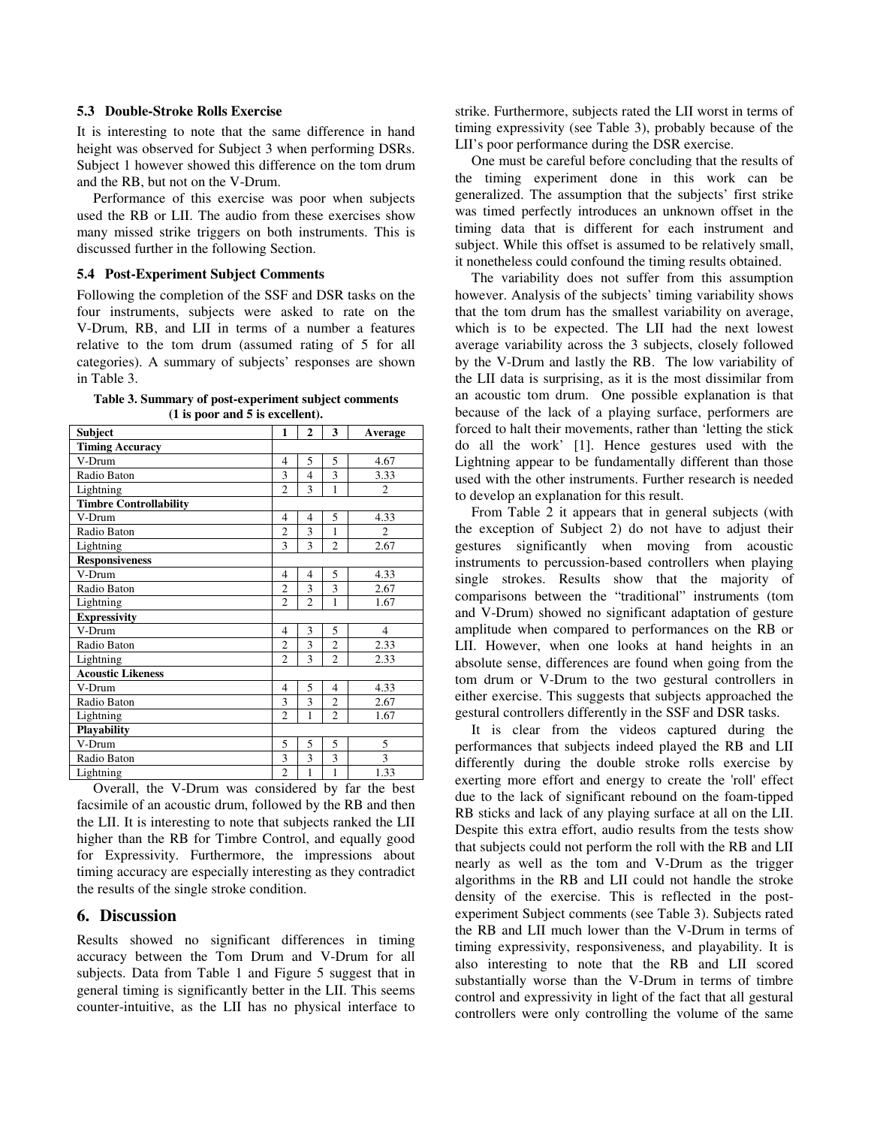#### **5.3 Double-Stroke Rolls Exercise**

It is interesting to note that the same difference in hand height was observed for Subject 3 when performing DSRs. Subject 1 however showed this difference on the tom drum and the RB, but not on the V-Drum.

Performance of this exercise was poor when subjects used the RB or LII. The audio from these exercises show many missed strike triggers on both instruments. This is discussed further in the following Section.

#### **5.4 Post-Experiment Subject Comments**

Following the completion of the SSF and DSR tasks on the four instruments, subjects were asked to rate on the V-Drum, RB, and LII in terms of a number a features relative to the tom drum (assumed rating of 5 for all categories). A summary of subjects' responses are shown in Table 3.

**Table 3. Summary of post-experiment subject comments (1 is poor and 5 is excellent).** 

| Subject                       | 1              | 2              | 3              | Average        |
|-------------------------------|----------------|----------------|----------------|----------------|
| <b>Timing Accuracy</b>        |                |                |                |                |
| V-Drum                        | $\overline{4}$ | 5              | 5              | 4.67           |
| Radio Baton                   | 3              | $\overline{4}$ | 3              | 3.33           |
| Lightning                     | $\overline{c}$ | 3              | $\mathbf{1}$   | $\mathfrak{D}$ |
| <b>Timbre Controllability</b> |                |                |                |                |
| V-Drum                        | 4              | $\overline{4}$ | 5              | 4.33           |
| Radio Baton                   | $\overline{c}$ | 3              | 1              | 2              |
| Lightning                     | 3              | 3              | $\overline{c}$ | 2.67           |
| <b>Responsiveness</b>         |                |                |                |                |
| V-Drum                        | $\overline{4}$ | $\overline{4}$ | 5              | 4.33           |
| Radio Baton                   | $\overline{c}$ | 3              | 3              | 2.67           |
| Lightning                     | $\mathfrak{D}$ | $\overline{c}$ | 1              | 1.67           |
| <b>Expressivity</b>           |                |                |                |                |
| V-Drum                        | $\overline{4}$ | 3              | 5              | $\overline{4}$ |
| Radio Baton                   | $\overline{c}$ | 3              | $\overline{2}$ | 2.33           |
| Lightning                     | $\overline{c}$ | 3              | $\overline{c}$ | 2.33           |
| <b>Acoustic Likeness</b>      |                |                |                |                |
| V-Drum                        | $\overline{4}$ | 5              | $\overline{4}$ | 4.33           |
| Radio Baton                   | 3              | 3              | $\overline{c}$ | 2.67           |
| Lightning                     | $\overline{c}$ | 1              | $\overline{c}$ | 1.67           |
| Playability                   |                |                |                |                |
| V-Drum                        | 5              | 5              | 5              | 5              |
| Radio Baton                   | 3              | 3              | 3              | 3              |
| Lightning                     | $\overline{c}$ | 1              | 1              | 1.33           |

Overall, the V-Drum was considered by far the best facsimile of an acoustic drum, followed by the RB and then the LII. It is interesting to note that subjects ranked the LII higher than the RB for Timbre Control, and equally good for Expressivity. Furthermore, the impressions about timing accuracy are especially interesting as they contradict the results of the single stroke condition.

## **6. Discussion**

Results showed no significant differences in timing accuracy between the Tom Drum and V-Drum for all subjects. Data from Table 1 and Figure 5 suggest that in general timing is significantly better in the LII. This seems counter-intuitive, as the LII has no physical interface to

strike. Furthermore, subjects rated the LII worst in terms of timing expressivity (see Table 3), probably because of the LII's poor performance during the DSR exercise.

One must be careful before concluding that the results of the timing experiment done in this work can be generalized. The assumption that the subjects' first strike was timed perfectly introduces an unknown offset in the timing data that is different for each instrument and subject. While this offset is assumed to be relatively small, it nonetheless could confound the timing results obtained.

The variability does not suffer from this assumption however. Analysis of the subjects' timing variability shows that the tom drum has the smallest variability on average, which is to be expected. The LII had the next lowest average variability across the 3 subjects, closely followed by the V-Drum and lastly the RB. The low variability of the LII data is surprising, as it is the most dissimilar from an acoustic tom drum. One possible explanation is that because of the lack of a playing surface, performers are forced to halt their movements, rather than 'letting the stick do all the work' [1]. Hence gestures used with the Lightning appear to be fundamentally different than those used with the other instruments. Further research is needed to develop an explanation for this result.

From Table 2 it appears that in general subjects (with the exception of Subject 2) do not have to adjust their gestures significantly when moving from acoustic instruments to percussion-based controllers when playing single strokes. Results show that the majority of comparisons between the "traditional" instruments (tom and V-Drum) showed no significant adaptation of gesture amplitude when compared to performances on the RB or LII. However, when one looks at hand heights in an absolute sense, differences are found when going from the tom drum or V-Drum to the two gestural controllers in either exercise. This suggests that subjects approached the gestural controllers differently in the SSF and DSR tasks.

It is clear from the videos captured during the performances that subjects indeed played the RB and LII differently during the double stroke rolls exercise by exerting more effort and energy to create the 'roll' effect due to the lack of significant rebound on the foam-tipped RB sticks and lack of any playing surface at all on the LII. Despite this extra effort, audio results from the tests show that subjects could not perform the roll with the RB and LII nearly as well as the tom and V-Drum as the trigger algorithms in the RB and LII could not handle the stroke density of the exercise. This is reflected in the postexperiment Subject comments (see Table 3). Subjects rated the RB and LII much lower than the V-Drum in terms of timing expressivity, responsiveness, and playability. It is also interesting to note that the RB and LII scored substantially worse than the V-Drum in terms of timbre control and expressivity in light of the fact that all gestural controllers were only controlling the volume of the same